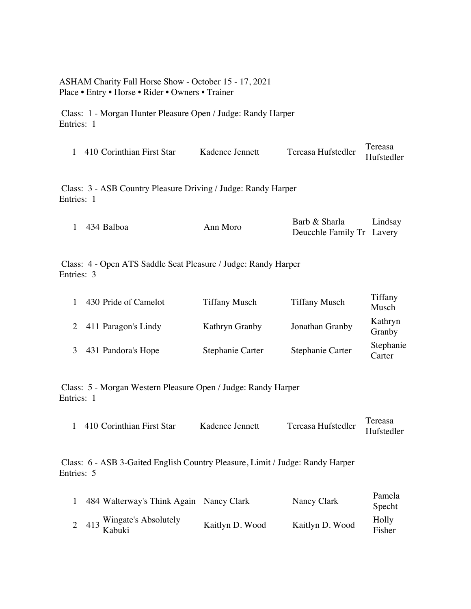## ASHAM Charity Fall Horse Show - October 15 - 17, 2021 Place • Entry • Horse • Rider • Owners • Trainer

Class: 1 - Morgan Hunter Pleasure Open / Judge: Randy Harper Entries: 1

| 1 410 Corinthian First Star                                   | Kadence Jennett | Tereasa Hufstedler | Tereasa<br>Hufstedler |  |  |
|---------------------------------------------------------------|-----------------|--------------------|-----------------------|--|--|
| Class: 3 - ASB Country Pleasure Driving / Judge: Randy Harper |                 |                    |                       |  |  |

Entries: 1

|              |          | Barb & Sharla             | Lindsay |
|--------------|----------|---------------------------|---------|
| 1 434 Balboa | Ann Moro | Deucchle Family Tr Lavery |         |

Class: 4 - Open ATS Saddle Seat Pleasure / Judge: Randy Harper Entries: 3

| 430 Pride of Camelot  | <b>Tiffany Musch</b> | <b>Tiffany Musch</b> | Tiffany<br>Musch    |
|-----------------------|----------------------|----------------------|---------------------|
| 2 411 Paragon's Lindy | Kathryn Granby       | Jonathan Granby      | Kathryn<br>Granby   |
| 431 Pandora's Hope    | Stephanie Carter     | Stephanie Carter     | Stephanie<br>Carter |

Class: 5 - Morgan Western Pleasure Open / Judge: Randy Harper Entries: 1

| 410 Corinthian First Star | Kadence Jennett |                               | Tereasa |
|---------------------------|-----------------|-------------------------------|---------|
|                           |                 | "Tereasa Hufstedler Hufsteon. |         |

Class: 6 - ASB 3-Gaited English Country Pleasure, Limit / Judge: Randy Harper Entries: 5

| 484 Walterway's Think Again Nancy Clark |                 | Nancy Clark     | Pamela<br>Specht |
|-----------------------------------------|-----------------|-----------------|------------------|
| 2 413 Wingate's Absolutely<br>Kabuki    | Kaitlyn D. Wood | Kaitlyn D. Wood | Holly<br>Fisher  |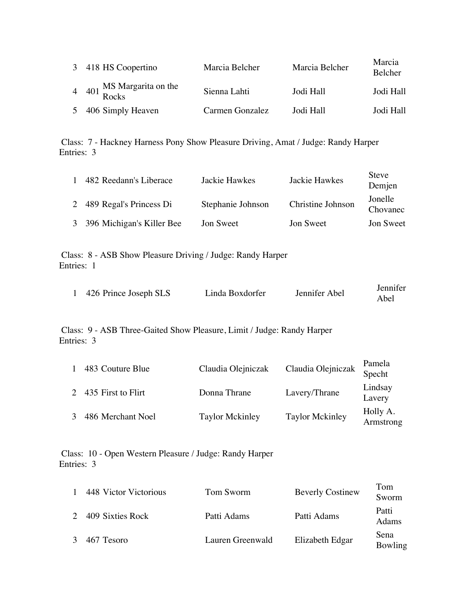| 3 418 HS Coopertino             | Marcia Belcher  | Marcia Belcher | Marcia<br>Belcher |
|---------------------------------|-----------------|----------------|-------------------|
| 4 401 MS Margarita on the Rocks | Sienna Lahti    | Jodi Hall      | Jodi Hall         |
| 5 406 Simply Heaven             | Carmen Gonzalez | Jodi Hall      | Jodi Hall         |

Class: 7 - Hackney Harness Pony Show Pleasure Driving, Amat / Judge: Randy Harper Entries: 3

| 482 Reedann's Liberace      | Jackie Hawkes     | Jackie Hawkes     | <b>Steve</b><br>Demjen |
|-----------------------------|-------------------|-------------------|------------------------|
| 2 489 Regal's Princess Di   | Stephanie Johnson | Christine Johnson | Jonelle<br>Chovanec    |
| 3 396 Michigan's Killer Bee | Jon Sweet         | Jon Sweet         | Jon Sweet              |

Class: 8 - ASB Show Pleasure Driving / Judge: Randy Harper Entries: 1

| 426 Prince Joseph SLS | Linda Boxdorfer | Jennifer Abel | Jennifer |
|-----------------------|-----------------|---------------|----------|
|                       |                 |               | Abel     |

Class: 9 - ASB Three-Gaited Show Pleasure, Limit / Judge: Randy Harper Entries: 3

| 483 Couture Blue     | Claudia Olejniczak     | Claudia Olejniczak     | Pamela<br>Specht      |
|----------------------|------------------------|------------------------|-----------------------|
| 2 435 First to Flirt | Donna Thrane           | Lavery/Thrane          | Lindsay<br>Lavery     |
| 486 Merchant Noel    | <b>Taylor Mckinley</b> | <b>Taylor Mckinley</b> | Holly A.<br>Armstrong |

Class: 10 - Open Western Pleasure / Judge: Randy Harper Entries: 3

| $\mathbf{1}$  | 448 Victor Victorious | Tom Sworm        | <b>Beverly Costinew</b> | Tom<br>Sworm    |
|---------------|-----------------------|------------------|-------------------------|-----------------|
| $2^{\circ}$   | 409 Sixties Rock      | Patti Adams      | Patti Adams             | Patti<br>Adams  |
| $\mathcal{E}$ | 467 Tesoro            | Lauren Greenwald | Elizabeth Edgar         | Sena<br>Bowling |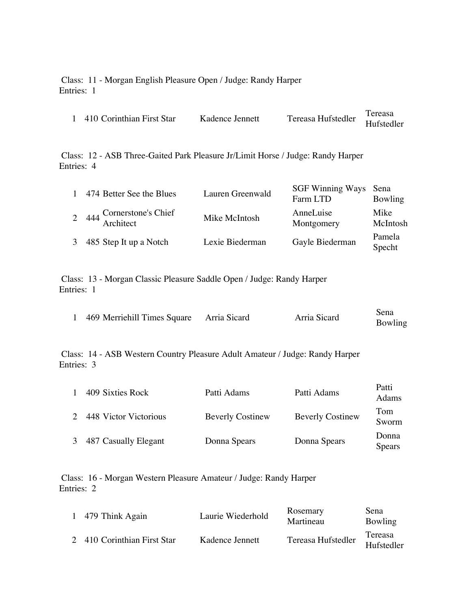Class: 11 - Morgan English Pleasure Open / Judge: Randy Harper Entries: 1

|                           | Kadence Jennett | Tereasa Hufstedler | Tereasa    |
|---------------------------|-----------------|--------------------|------------|
| 410 Corinthian First Star |                 |                    | Hufstedler |

Class: 12 - ASB Three-Gaited Park Pleasure Jr/Limit Horse / Judge: Randy Harper Entries: 4

| 1 | 474 Better See the Blues  | Lauren Greenwald | SGF Winning Ways Sena<br>Farm LTD | Bowling          |
|---|---------------------------|------------------|-----------------------------------|------------------|
|   | 2 444 Cornerstone's Chief | Mike McIntosh    | AnneLuise<br>Montgomery           | Mike<br>McIntosh |
| 3 | 485 Step It up a Notch    | Lexie Biederman  | Gayle Biederman                   | Pamela<br>Specht |

Class: 13 - Morgan Classic Pleasure Saddle Open / Judge: Randy Harper Entries: 1

| 469 Merriehill Times Square Arria Sicard | Arria Sicard | Sena    |
|------------------------------------------|--------------|---------|
|                                          |              | Bowling |

Class: 14 - ASB Western Country Pleasure Adult Amateur / Judge: Randy Harper Entries: 3

|   | 409 Sixties Rock      | Patti Adams             | Patti Adams             | Patti<br>Adams         |
|---|-----------------------|-------------------------|-------------------------|------------------------|
|   | 448 Victor Victorious | <b>Beverly Costinew</b> | <b>Beverly Costinew</b> | Tom<br>Sworm           |
| 3 | 487 Casually Elegant  | Donna Spears            | Donna Spears            | Donna<br><b>Spears</b> |

Class: 16 - Morgan Western Pleasure Amateur / Judge: Randy Harper Entries: 2

| 1 479 Think Again           | Laurie Wiederhold | Rosemary<br>Martineau | Sena<br>Bowling       |
|-----------------------------|-------------------|-----------------------|-----------------------|
| 2 410 Corinthian First Star | Kadence Jennett   | Tereasa Hufstedler    | Tereasa<br>Hufstedler |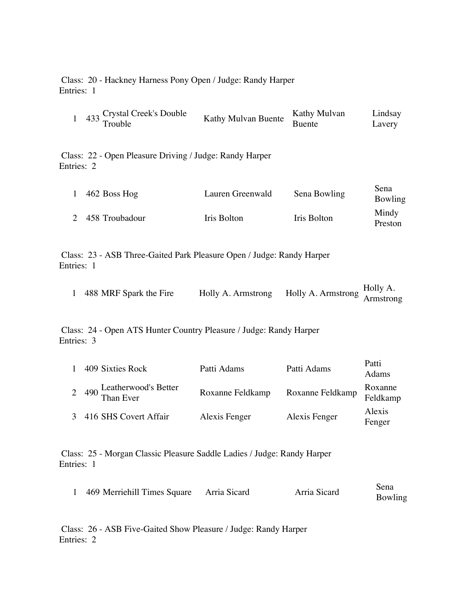Class: 20 - Hackney Harness Pony Open / Judge: Randy Harper Entries: 1

| $\mathbf{1}$   | 433                                                                                 | Crystal Creek's Double<br>Trouble                       | Kathy Mulvan Buente | Kathy Mulvan<br><b>Buente</b> | Lindsay<br>Lavery     |  |
|----------------|-------------------------------------------------------------------------------------|---------------------------------------------------------|---------------------|-------------------------------|-----------------------|--|
| Entries: 2     |                                                                                     | Class: 22 - Open Pleasure Driving / Judge: Randy Harper |                     |                               |                       |  |
| 1              |                                                                                     | 462 Boss Hog                                            | Lauren Greenwald    | Sena Bowling                  | Sena<br>Bowling       |  |
| $\overline{2}$ |                                                                                     | 458 Troubadour                                          | Iris Bolton         | <b>Iris Bolton</b>            | Mindy<br>Preston      |  |
|                | Class: 23 - ASB Three-Gaited Park Pleasure Open / Judge: Randy Harper<br>Entries: 1 |                                                         |                     |                               |                       |  |
| 1              |                                                                                     | 488 MRF Spark the Fire                                  | Holly A. Armstrong  | Holly A. Armstrong            | Holly A.<br>Armstrong |  |
|                | Class: 24 - Open ATS Hunter Country Pleasure / Judge: Randy Harper<br>Entries: 3    |                                                         |                     |                               |                       |  |
| 1              |                                                                                     | 409 Sixties Rock                                        | Patti Adams         | Patti Adams                   | Patti<br>Adams        |  |
| $\overline{2}$ | 490                                                                                 | Leatherwood's Better<br>Than Ever                       | Roxanne Feldkamp    | Roxanne Feldkamp              | Roxanne<br>Feldkamp   |  |
| 3              |                                                                                     | 416 SHS Covert Affair                                   | Alexis Fenger       | Alexis Fenger                 | Alexis<br>Fenger      |  |
|                |                                                                                     |                                                         |                     |                               |                       |  |

Class: 25 - Morgan Classic Pleasure Saddle Ladies / Judge: Randy Harper Entries: 1

| 469 Merriehill Times Square Arria Sicard | Arria Sicard | Sena    |
|------------------------------------------|--------------|---------|
|                                          |              | Bowling |

Class: 26 - ASB Five-Gaited Show Pleasure / Judge: Randy Harper Entries: 2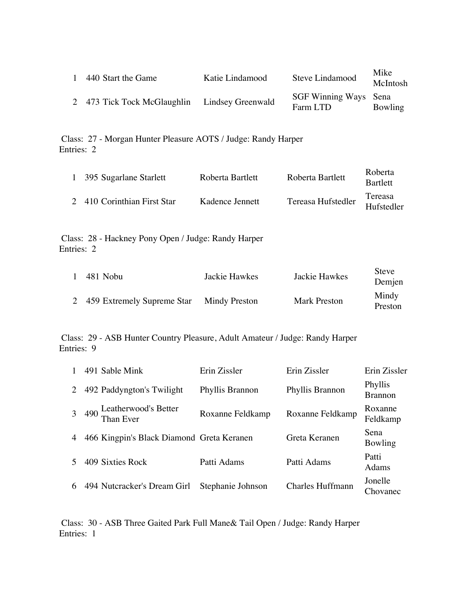| 440 Start the Game                            | Katie Lindamood | Steve Lindamood                   | Mike<br>McIntosh |
|-----------------------------------------------|-----------------|-----------------------------------|------------------|
| 2 473 Tick Tock McGlaughlin Lindsey Greenwald |                 | SGF Winning Ways Sena<br>Farm LTD | Bowling          |

Class: 27 - Morgan Hunter Pleasure AOTS / Judge: Randy Harper Entries: 2

| 1 395 Sugarlane Starlett    | Roberta Bartlett | Roberta Bartlett   | Roberta<br><b>Bartlett</b> |
|-----------------------------|------------------|--------------------|----------------------------|
| 2 410 Corinthian First Star | Kadence Jennett  | Tereasa Hufstedler | Tereasa<br>Hufstedler      |

Class: 28 - Hackney Pony Open / Judge: Randy Harper Entries: 2

| 481 Nobu                     | Jackie Hawkes | Jackie Hawkes       | Steve<br>Demjen  |
|------------------------------|---------------|---------------------|------------------|
| 2 459 Extremely Supreme Star | Mindy Preston | <b>Mark Preston</b> | Mindy<br>Preston |

Class: 29 - ASB Hunter Country Pleasure, Adult Amateur / Judge: Randy Harper Entries: 9

|   | 491 Sable Mink                            | Erin Zissler      | Erin Zissler            | Erin Zissler              |
|---|-------------------------------------------|-------------------|-------------------------|---------------------------|
| 2 | 492 Paddyngton's Twilight                 | Phyllis Brannon   | Phyllis Brannon         | Phyllis<br><b>Brannon</b> |
|   | 490 Leatherwood's Better<br>Than Ever     | Roxanne Feldkamp  | Roxanne Feldkamp        | Roxanne<br>Feldkamp       |
|   | 466 Kingpin's Black Diamond Greta Keranen |                   | Greta Keranen           | Sena<br>Bowling           |
|   | 409 Sixties Rock                          | Patti Adams       | Patti Adams             | Patti<br>Adams            |
| 6 | 494 Nutcracker's Dream Girl               | Stephanie Johnson | <b>Charles Huffmann</b> | Jonelle<br>Chovanec       |

Class: 30 - ASB Three Gaited Park Full Mane& Tail Open / Judge: Randy Harper Entries: 1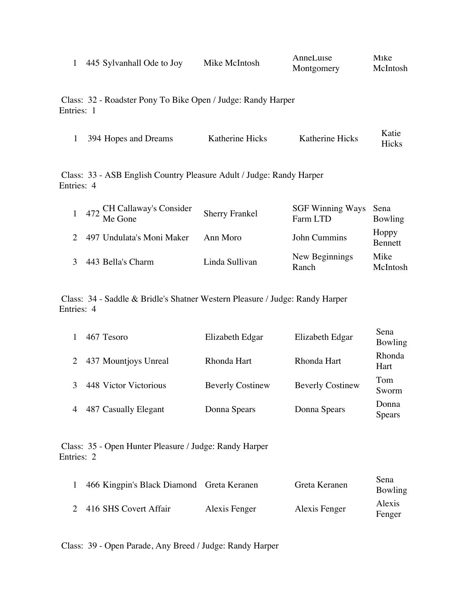| 445 Sylvanhall Ode to Joy | Mike McIntosh | Annel uise | Mike     |
|---------------------------|---------------|------------|----------|
|                           |               | Montgomery | McIntosh |

Class: 32 - Roadster Pony To Bike Open / Judge: Randy Harper Entries: 1

| 394 Hopes and Dreams | Katherine Hicks | Katherine Hicks | Katie |
|----------------------|-----------------|-----------------|-------|
|                      |                 |                 | Hicks |

Class: 33 - ASB English Country Pleasure Adult / Judge: Randy Harper Entries: 4

| 1 472 CH Callaway's Consider<br>1 472 Me Gone | <b>Sherry Frankel</b> | SGF Winning Ways Sena<br>Farm LTD | Bowling          |
|-----------------------------------------------|-----------------------|-----------------------------------|------------------|
| 497 Undulata's Moni Maker                     | Ann Moro              | John Cummins                      | Hoppy<br>Bennett |
| 443 Bella's Charm                             | Linda Sullivan        | New Beginnings<br>Ranch           | Mike<br>McIntosh |

Class: 34 - Saddle & Bridle's Shatner Western Pleasure / Judge: Randy Harper Entries: 4

|   | 467 Tesoro            | Elizabeth Edgar         | Elizabeth Edgar         | Sena<br><b>Bowling</b> |
|---|-----------------------|-------------------------|-------------------------|------------------------|
|   | 437 Mountjoys Unreal  | Rhonda Hart             | Rhonda Hart             | Rhonda<br>Hart         |
|   | 448 Victor Victorious | <b>Beverly Costinew</b> | <b>Beverly Costinew</b> | Tom<br>Sworm           |
| 4 | 487 Casually Elegant  | Donna Spears            | Donna Spears            | Donna<br><b>Spears</b> |

Class: 35 - Open Hunter Pleasure / Judge: Randy Harper Entries: 2

| 466 Kingpin's Black Diamond Greta Keranen |               | Greta Keranen | Sena<br>Bowling  |
|-------------------------------------------|---------------|---------------|------------------|
| 2 416 SHS Covert Affair                   | Alexis Fenger | Alexis Fenger | Alexis<br>Fenger |

Class: 39 - Open Parade, Any Breed / Judge: Randy Harper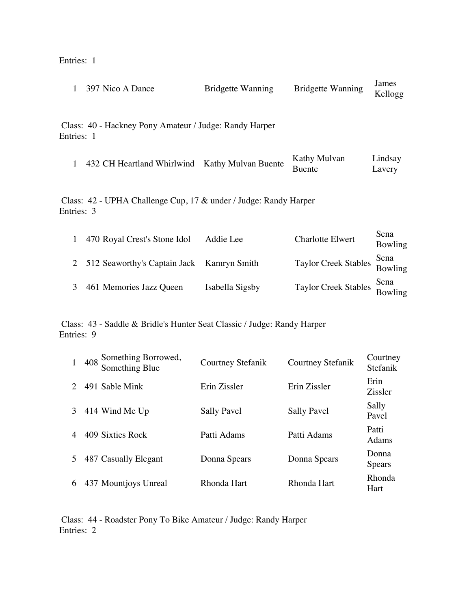Entries: 1

| 1            |     | 397 Nico A Dance                                                        | <b>Bridgette Wanning</b> | <b>Bridgette Wanning</b>      | James<br>Kellogg     |
|--------------|-----|-------------------------------------------------------------------------|--------------------------|-------------------------------|----------------------|
| Entries: 1   |     | Class: 40 - Hackney Pony Amateur / Judge: Randy Harper                  |                          |                               |                      |
| $\mathbf{1}$ |     | 432 CH Heartland Whirlwind Kathy Mulvan Buente                          |                          | Kathy Mulvan<br><b>Buente</b> | Lindsay<br>Lavery    |
| Entries: 3   |     | Class: 42 - UPHA Challenge Cup, 17 & under / Judge: Randy Harper        |                          |                               |                      |
| 1            |     | 470 Royal Crest's Stone Idol                                            | Addie Lee                | <b>Charlotte Elwert</b>       | Sena<br>Bowling      |
| 2            |     | 512 Seaworthy's Captain Jack                                            | Kamryn Smith             | <b>Taylor Creek Stables</b>   | Sena<br>Bowling      |
| 3            |     | 461 Memories Jazz Queen                                                 | Isabella Sigsby          | <b>Taylor Creek Stables</b>   | Sena<br>Bowling      |
| Entries: 9   |     | Class: 43 - Saddle & Bridle's Hunter Seat Classic / Judge: Randy Harper |                          |                               |                      |
| $\mathbf{1}$ | 408 | Something Borrowed,<br>Something Blue                                   | Courtney Stefanik        | <b>Courtney Stefanik</b>      | Courtney<br>Stefanik |
| 2            |     | 491 Sable Mink                                                          | Erin Zissler             | Erin Zissler                  | Erin<br>Zissler      |

3 414 Wind Me Up Sally Pavel Sally Pavel Sally Pavel Sally Pavel

4 409 Sixties Rock Patti Adams Patti Adams Patti

5 487 Casually Elegant Donna Spears Donna Spears Donna Spears Donna

6 437 Mountjoys Unreal Rhonda Hart Rhonda Hart Rhonda

Pavel

Adams

Spears

Hart

Class: 44 - Roadster Pony To Bike Amateur / Judge: Randy Harper Entries: 2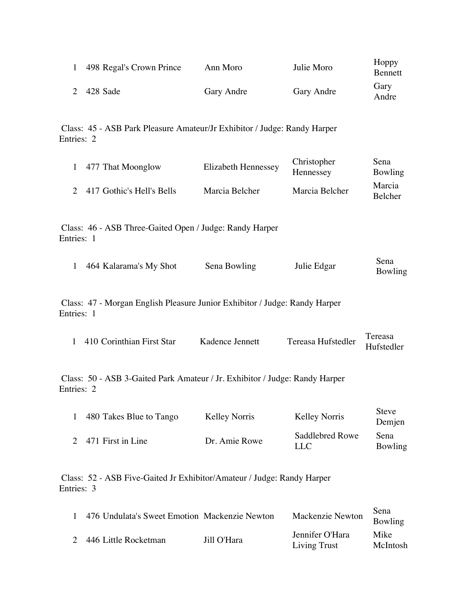| 498 Regal's Crown Prince | Ann Moro   | Julie Moro | Hoppy<br><b>Bennett</b> |
|--------------------------|------------|------------|-------------------------|
| 2 428 Sade               | Gary Andre | Gary Andre | Gary<br>Andre           |

Class: 45 - ASB Park Pleasure Amateur/Jr Exhibitor / Judge: Randy Harper Entries: 2

| 1 477 That Moonglow         | <b>Elizabeth Hennessey</b> | Christopher<br>Hennessey | Sena<br>Bowling          |
|-----------------------------|----------------------------|--------------------------|--------------------------|
| 2 417 Gothic's Hell's Bells | Marcia Belcher             | Marcia Belcher           | Marcia<br><b>Belcher</b> |

Class: 46 - ASB Three-Gaited Open / Judge: Randy Harper Entries: 1

| 464 Kalarama's My Shot | Sena Bowling | Julie Edgar | Sena    |
|------------------------|--------------|-------------|---------|
|                        |              |             | Bowling |

Class: 47 - Morgan English Pleasure Junior Exhibitor / Judge: Randy Harper Entries: 1

| 410 Corinthian First Star |                 |                               | Tereasa |
|---------------------------|-----------------|-------------------------------|---------|
|                           | Kadence Jennett | Tereasa Hufstedler Hufstedler |         |

Class: 50 - ASB 3-Gaited Park Amateur / Jr. Exhibitor / Judge: Randy Harper Entries: 2

| 480 Takes Blue to Tango | <b>Kelley Norris</b> | Kelley Norris          | <b>Steve</b><br>Demjen |
|-------------------------|----------------------|------------------------|------------------------|
| 2 471 First in Line     | Dr. Amie Rowe        | Saddlebred Rowe<br>LLC | Sena<br>Bowling        |

Class: 52 - ASB Five-Gaited Jr Exhibitor/Amateur / Judge: Randy Harper Entries: 3

|               | 476 Undulata's Sweet Emotion Mackenzie Newton |             | Mackenzie Newton                       | Sena<br>Bowling  |
|---------------|-----------------------------------------------|-------------|----------------------------------------|------------------|
| $\mathcal{D}$ | 446 Little Rocketman                          | Jill O'Hara | Jennifer O'Hara<br><b>Living Trust</b> | Mike<br>McIntosh |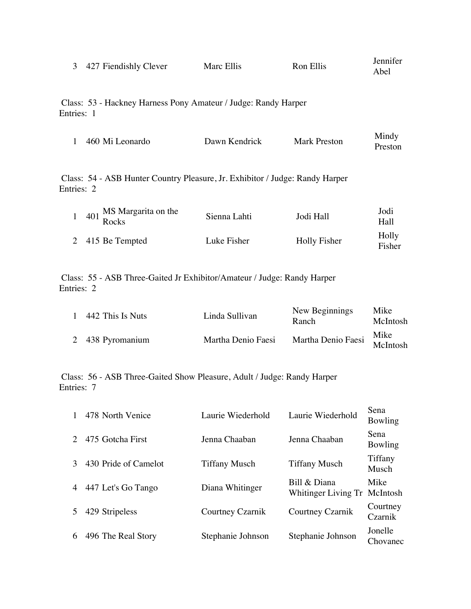| 3 427 Fiendishly Clever | Marc Ellis | Ron Ellis | Jennifer<br>Abel |
|-------------------------|------------|-----------|------------------|
|                         |            |           |                  |

Class: 53 - Hackney Harness Pony Amateur / Judge: Randy Harper Entries: 1

| 460 Mi Leonardo<br>Mark Preston<br>Dawn Kendrick | Mindy<br>Preston |
|--------------------------------------------------|------------------|
|--------------------------------------------------|------------------|

Class: 54 - ASB Hunter Country Pleasure, Jr. Exhibitor / Judge: Randy Harper Entries: 2

| $401 \frac{\text{m/s}}{\text{Rocks}}$ | Sienna Lahti | Jodi Hall    | Jodi<br>Hall    |
|---------------------------------------|--------------|--------------|-----------------|
| 2 415 Be Tempted                      | Luke Fisher  | Holly Fisher | Holly<br>Fisher |

Class: 55 - ASB Three-Gaited Jr Exhibitor/Amateur / Judge: Randy Harper Entries: 2

| $\overline{1}$ | 442 This Is Nuts | Linda Sullivan     | New Beginnings<br>Ranch     | Mike<br>McIntosh |
|----------------|------------------|--------------------|-----------------------------|------------------|
|                | 2 438 Pyromanium | Martha Denio Faesi | Martha Denio Faesi McIntosh | Mike             |

Class: 56 - ASB Three-Gaited Show Pleasure, Adult / Judge: Randy Harper Entries: 7

|                | 478 North Venice     | Laurie Wiederhold    | Laurie Wiederhold                            | Sena<br>Bowling     |
|----------------|----------------------|----------------------|----------------------------------------------|---------------------|
|                | 475 Gotcha First     | Jenna Chaaban        | Jenna Chaaban                                | Sena<br>Bowling     |
|                | 430 Pride of Camelot | <b>Tiffany Musch</b> | <b>Tiffany Musch</b>                         | Tiffany<br>Musch    |
| $\overline{4}$ | 447 Let's Go Tango   | Diana Whitinger      | Bill & Diana<br>Whitinger Living Tr McIntosh | Mike                |
| 5              | 429 Stripeless       | Courtney Czarnik     | Courtney Czarnik                             | Courtney<br>Czarnik |
| 6              | 496 The Real Story   | Stephanie Johnson    | Stephanie Johnson                            | Jonelle<br>Chovanec |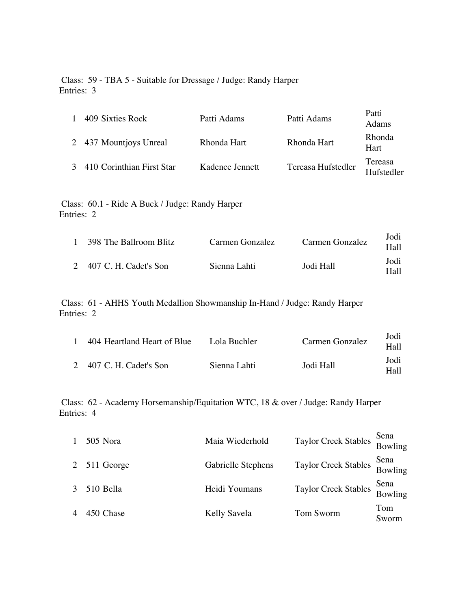Class: 59 - TBA 5 - Suitable for Dressage / Judge: Randy Harper Entries: 3

| 409 Sixties Rock          | Patti Adams     | Patti Adams        | Patti<br>Adams        |
|---------------------------|-----------------|--------------------|-----------------------|
| 2 437 Mountjoys Unreal    | Rhonda Hart     | Rhonda Hart        | Rhonda<br>Hart        |
| 410 Corinthian First Star | Kadence Jennett | Tereasa Hufstedler | Tereasa<br>Hufstedler |

Class: 60.1 - Ride A Buck / Judge: Randy Harper Entries: 2

| 1 398 The Ballroom Blitz | Carmen Gonzalez | Carmen Gonzalez | Jodi<br>Hall  |
|--------------------------|-----------------|-----------------|---------------|
| 2 407 C. H. Cadet's Son  | Sienna Lahti    | Jodi Hall       | Jodi<br>Hall- |

Class: 61 - AHHS Youth Medallion Showmanship In-Hand / Judge: Randy Harper Entries: 2

| 404 Heartland Heart of Blue | Lola Buchler | Carmen Gonzalez | Jodi<br>Hall  |
|-----------------------------|--------------|-----------------|---------------|
| 2 407 C. H. Cadet's Son     | Sienna Lahti | Jodi Hall       | Jodi<br>Hall- |

Class: 62 - Academy Horsemanship/Equitation WTC, 18 & over / Judge: Randy Harper Entries: 4

| 505 Nora     | Maia Wiederhold    | Taylor Creek Stables                 | Sena<br>Bowling |
|--------------|--------------------|--------------------------------------|-----------------|
| 2 511 George | Gabrielle Stephens | Taylor Creek Stables Sena<br>Bowling |                 |
| 510 Bella    | Heidi Youmans      | <b>Taylor Creek Stables</b>          | Sena<br>Bowling |
| 450 Chase    | Kelly Savela       | Tom Sworm                            | Tom<br>Sworm    |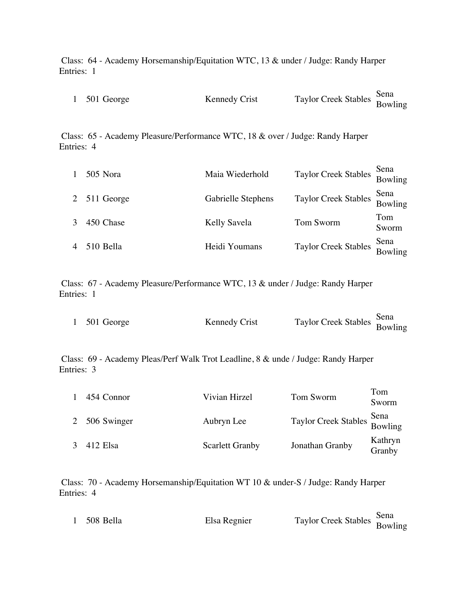Class: 64 - Academy Horsemanship/Equitation WTC, 13 & under / Judge: Randy Harper Entries: 1

| 1 501 George |               |                                      |  |
|--------------|---------------|--------------------------------------|--|
|              | Kennedy Crist | Taylor Creek Stables Sena<br>Bowling |  |

Class: 65 - Academy Pleasure/Performance WTC, 18 & over / Judge: Randy Harper Entries: 4

| 505 Nora     | Maia Wiederhold    | Taylor Creek Stables        | Sena<br>Bowling |
|--------------|--------------------|-----------------------------|-----------------|
| 2 511 George | Gabrielle Stephens | <b>Taylor Creek Stables</b> | Sena<br>Bowling |
| 450 Chase    | Kelly Savela       | Tom Sworm                   | Tom<br>Sworm    |
| 510 Bella    | Heidi Youmans      | <b>Taylor Creek Stables</b> | Sena<br>Bowling |

Class: 67 - Academy Pleasure/Performance WTC, 13 & under / Judge: Randy Harper Entries: 1

| Taylor Creek Stables Sena<br>Bowling<br>1 $501$ George<br><b>Kennedy Crist</b> |  |
|--------------------------------------------------------------------------------|--|
|--------------------------------------------------------------------------------|--|

Class: 69 - Academy Pleas/Perf Walk Trot Leadline, 8 & unde / Judge: Randy Harper Entries: 3

| $\mathbf{1}$ | 454 Connor    | Vivian Hirzel          | Tom Sworm                            | Tom<br>Sworm      |
|--------------|---------------|------------------------|--------------------------------------|-------------------|
|              | 2 506 Swinger | Aubryn Lee             | Taylor Creek Stables Sena<br>Bowling |                   |
|              | 412 Elsa      | <b>Scarlett Granby</b> | Jonathan Granby                      | Kathryn<br>Granby |

Class: 70 - Academy Horsemanship/Equitation WT 10 & under-S / Judge: Randy Harper Entries: 4

| 508 Bella |              |                                      |  |
|-----------|--------------|--------------------------------------|--|
|           | Elsa Regnier | Taylor Creek Stables Sena<br>Bowling |  |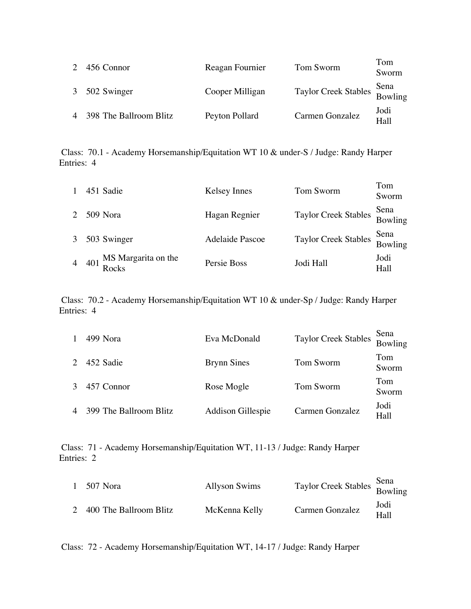| $2^{\circ}$ | 456 Connor               | Reagan Fournier | Tom Sworm                            | Tom<br>Sworm |
|-------------|--------------------------|-----------------|--------------------------------------|--------------|
|             | 3 502 Swinger            | Cooper Milligan | Taylor Creek Stables Sena<br>Bowling |              |
|             | 4 398 The Ballroom Blitz | Peyton Pollard  | Carmen Gonzalez                      | Jodi<br>Hall |

Class: 70.1 - Academy Horsemanship/Equitation WT 10 & under-S / Judge: Randy Harper Entries: 4

| $\mathbf{1}$ | 451 Sadie                                                | Kelsey Innes           | Tom Sworm                            | Tom<br>Sworm    |
|--------------|----------------------------------------------------------|------------------------|--------------------------------------|-----------------|
|              | 2 509 Nora                                               | Hagan Regnier          | Taylor Creek Stables Sena<br>Bowling |                 |
|              | 3 503 Swinger                                            | <b>Adelaide Pascoe</b> | <b>Taylor Creek Stables</b>          | Sena<br>Bowling |
|              | 4 401 $\frac{\text{MS} \text{ Margarita}}{\text{Rocks}}$ | Persie Boss            | Jodi Hall                            | Jodi<br>Hall    |

Class: 70.2 - Academy Horsemanship/Equitation WT 10 & under-Sp / Judge: Randy Harper Entries: 4

| 1              | 499 Nora               | Eva McDonald       | <b>Taylor Creek Stables</b> | Sena<br>Bowling |
|----------------|------------------------|--------------------|-----------------------------|-----------------|
| $2^{\circ}$    | 452 Sadie              | <b>Brynn Sines</b> | Tom Sworm                   | Tom<br>Sworm    |
| $\mathcal{E}$  | 457 Connor             | Rose Mogle         | Tom Sworm                   | Tom<br>Sworm    |
| $\overline{4}$ | 399 The Ballroom Blitz | Addison Gillespie  | Carmen Gonzalez             | Jodi<br>Hall    |

Class: 71 - Academy Horsemanship/Equitation WT, 11-13 / Judge: Randy Harper Entries: 2

| 1 507 Nora               | <b>Allyson Swims</b> | Taylor Creek Stables Sena<br>Bowling |              |
|--------------------------|----------------------|--------------------------------------|--------------|
| 2 400 The Ballroom Blitz | McKenna Kelly        | Carmen Gonzalez                      | Jodi<br>Hall |

Class: 72 - Academy Horsemanship/Equitation WT, 14-17 / Judge: Randy Harper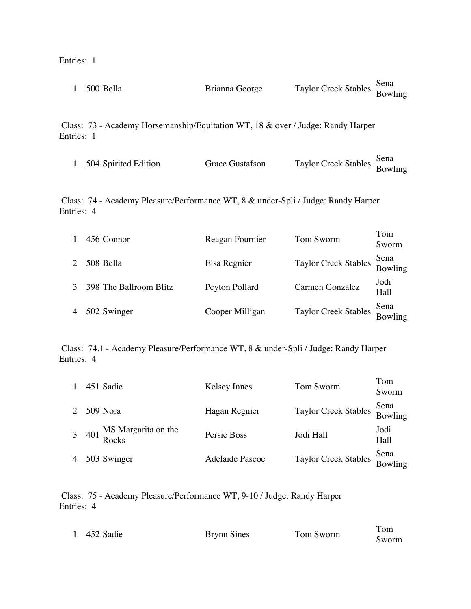Entries: 1

|                                                                                   | 500 Bella                                                                                     | Brianna George  | <b>Taylor Creek Stables</b> | Sena<br>Bowling |  |  |
|-----------------------------------------------------------------------------------|-----------------------------------------------------------------------------------------------|-----------------|-----------------------------|-----------------|--|--|
|                                                                                   | Class: 73 - Academy Horsemanship/Equitation WT, 18 & over / Judge: Randy Harper<br>Entries: 1 |                 |                             |                 |  |  |
|                                                                                   | 504 Spirited Edition                                                                          | Grace Gustafson | <b>Taylor Creek Stables</b> | Sena<br>Bowling |  |  |
| Class: 74 - Academy Pleasure/Performance WT, 8 & under-Spli / Judge: Randy Harper |                                                                                               |                 |                             |                 |  |  |

Entries: 4

|                | 456 Connor             | Reagan Fournier | Tom Sworm                            | Tom<br>Sworm    |
|----------------|------------------------|-----------------|--------------------------------------|-----------------|
| $\mathcal{L}$  | 508 Bella              | Elsa Regnier    | Taylor Creek Stables Sena<br>Bowling |                 |
|                | 398 The Ballroom Blitz | Peyton Pollard  | Carmen Gonzalez                      | Jodi<br>Hall    |
| $\overline{4}$ | 502 Swinger            | Cooper Milligan | <b>Taylor Creek Stables</b>          | Sena<br>Bowling |

Class: 74.1 - Academy Pleasure/Performance WT, 8 & under-Spli / Judge: Randy Harper Entries: 4

| $\mathbf{1}$   | 451 Sadie                       | Kelsey Innes           | Tom Sworm                            | Tom<br>Sworm |
|----------------|---------------------------------|------------------------|--------------------------------------|--------------|
| $2^{\circ}$    | 509 Nora                        | Hagan Regnier          | Taylor Creek Stables Sena<br>Bowling |              |
|                | 3 401 MS Margarita on the Rocks | Persie Boss            | Jodi Hall                            | Jodi<br>Hall |
| $\overline{4}$ | 503 Swinger                     | <b>Adelaide Pascoe</b> | Taylor Creek Stables Sena<br>Bowling |              |

Class: 75 - Academy Pleasure/Performance WT, 9-10 / Judge: Randy Harper Entries: 4

|  | 452 Sadie | <b>Brynn Sines</b> | Tom Sworm | l om<br>Sworm |
|--|-----------|--------------------|-----------|---------------|
|--|-----------|--------------------|-----------|---------------|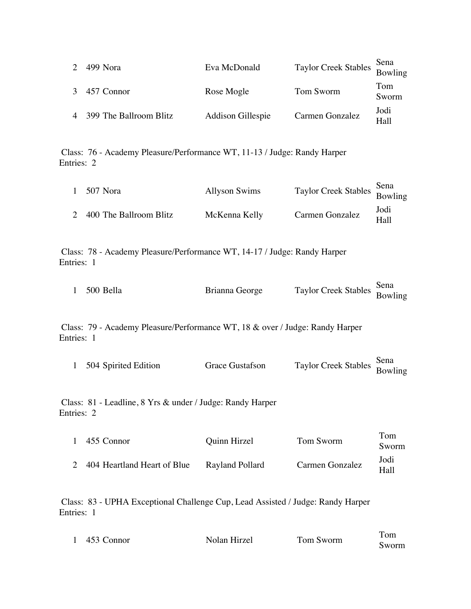| $\mathcal{L}$ | 499 Nora                 | Eva McDonald      | Taylor Creek Stables Sena<br>Bowling |              |
|---------------|--------------------------|-------------------|--------------------------------------|--------------|
|               | 3 457 Connor             | Rose Mogle        | Tom Sworm                            | Tom<br>Sworm |
|               | 4 399 The Ballroom Blitz | Addison Gillespie | Carmen Gonzalez                      | Jodi<br>Hall |

Class: 76 - Academy Pleasure/Performance WT, 11-13 / Judge: Randy Harper Entries: 2

| 1 507 Nora               | <b>Allyson Swims</b> | Taylor Creek Stables Sena<br>Bowling |              |
|--------------------------|----------------------|--------------------------------------|--------------|
| 2 400 The Ballroom Blitz | McKenna Kelly        | Carmen Gonzalez                      | Jodi<br>Hall |

Class: 78 - Academy Pleasure/Performance WT, 14-17 / Judge: Randy Harper Entries: 1

| 1 500 Bella | Brianna George |                                      |  |
|-------------|----------------|--------------------------------------|--|
|             |                | Taylor Creek Stables Sena<br>Bowling |  |

Class: 79 - Academy Pleasure/Performance WT, 18 & over / Judge: Randy Harper Entries: 1

| 504 Spirited Edition | Grace Gustafson | Taylor Creek Stables Sena<br>Bowling |  |
|----------------------|-----------------|--------------------------------------|--|
|                      |                 |                                      |  |

Class: 81 - Leadline, 8 Yrs & under / Judge: Randy Harper Entries: 2

| 1 455 Connor                  | Quinn Hirzel    | Tom Sworm       | Tom<br>Sworm |
|-------------------------------|-----------------|-----------------|--------------|
| 2 404 Heartland Heart of Blue | Rayland Pollard | Carmen Gonzalez | Jodi<br>Hall |

Class: 83 - UPHA Exceptional Challenge Cup, Lead Assisted / Judge: Randy Harper Entries: 1

| 453 Connor | Nolan Hirzel | Tom Sworm | 1 om  |
|------------|--------------|-----------|-------|
|            |              |           | Sworm |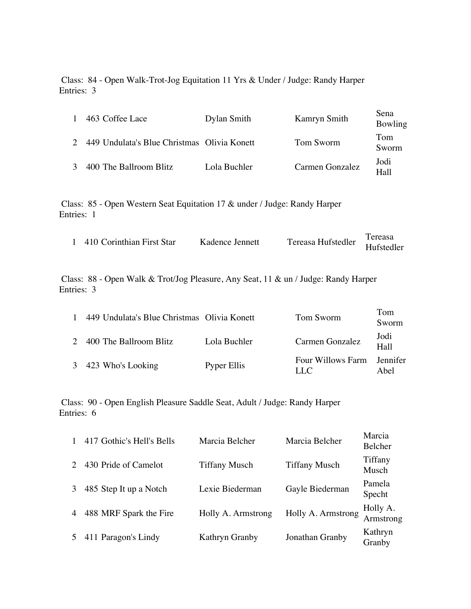Class: 84 - Open Walk-Trot-Jog Equitation 11 Yrs & Under / Judge: Randy Harper Entries: 3

| 1 | 463 Coffee Lace                             | Dylan Smith  | Kamryn Smith    | Sena<br>Bowling |
|---|---------------------------------------------|--------------|-----------------|-----------------|
|   | 449 Undulata's Blue Christmas Olivia Konett |              | Tom Sworm       | Tom<br>Sworm    |
|   | 400 The Ballroom Blitz                      | Lola Buchler | Carmen Gonzalez | Jodi<br>Hall    |

Class: 85 - Open Western Seat Equitation 17 & under / Judge: Randy Harper Entries: 1

| 1 410 Corinthian First Star | Kadence Jennett |                               | Tereasa |
|-----------------------------|-----------------|-------------------------------|---------|
|                             |                 | Tereasa Hufstedler Hufstedler |         |

Class: 88 - Open Walk & Trot/Jog Pleasure, Any Seat, 11 & un / Judge: Randy Harper Entries: 3

| $\mathbf{1}$ | 449 Undulata's Blue Christmas Olivia Konett |              | Tom Sworm                 | Tom<br>Sworm     |
|--------------|---------------------------------------------|--------------|---------------------------|------------------|
|              | 2 400 The Ballroom Blitz                    | Lola Buchler | Carmen Gonzalez           | Jodi<br>Hall     |
|              | 3 423 Who's Looking                         | Pyper Ellis  | Four Willows Farm<br>LL C | Jennifer<br>Abel |

Class: 90 - Open English Pleasure Saddle Seat, Adult / Judge: Randy Harper Entries: 6

| 417 Gothic's Hell's Bells | Marcia Belcher       | Marcia Belcher       | Marcia<br>Belcher     |
|---------------------------|----------------------|----------------------|-----------------------|
| 430 Pride of Camelot      | <b>Tiffany Musch</b> | <b>Tiffany Musch</b> | Tiffany<br>Musch      |
| 485 Step It up a Notch    | Lexie Biederman      | Gayle Biederman      | Pamela<br>Specht      |
| 488 MRF Spark the Fire    | Holly A. Armstrong   | Holly A. Armstrong   | Holly A.<br>Armstrong |
| 411 Paragon's Lindy       | Kathryn Granby       | Jonathan Granby      | Kathryn<br>Granby     |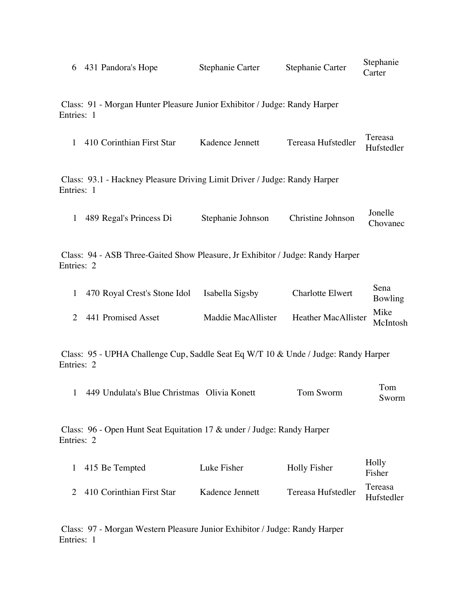|  | 6 431 Pandora's Hope | Stephanie Carter | Stephanie Carter | Stephanie<br>Carter |
|--|----------------------|------------------|------------------|---------------------|
|--|----------------------|------------------|------------------|---------------------|

Class: 91 - Morgan Hunter Pleasure Junior Exhibitor / Judge: Randy Harper Entries: 1

| 410 Corinthian First Star | Kadence Jennett | Tereasa Hufstedler | Tereasa    |
|---------------------------|-----------------|--------------------|------------|
|                           |                 |                    | Hufstedler |

Class: 93.1 - Hackney Pleasure Driving Limit Driver / Judge: Randy Harper Entries: 1

|                         |                   |                   | Jonelle  |
|-------------------------|-------------------|-------------------|----------|
| 489 Regal's Princess Di | Stephanie Johnson | Christine Johnson | Chovanec |

Class: 94 - ASB Three-Gaited Show Pleasure, Jr Exhibitor / Judge: Randy Harper Entries: 2

| 1 470 Royal Crest's Stone Idol | Isabella Sigsby    | <b>Charlotte Elwert</b>              | Sena<br>Bowling |
|--------------------------------|--------------------|--------------------------------------|-----------------|
| 2 441 Promised Asset           | Maddie MacAllister | Heather MacAllister Mike<br>McIntosh |                 |

Class: 95 - UPHA Challenge Cup, Saddle Seat Eq W/T 10 & Unde / Judge: Randy Harper Entries: 2

| 449 Undulata's Blue Christmas Olivia Konett | Tom Sworm | Tom   |
|---------------------------------------------|-----------|-------|
|                                             |           | Sworm |

Class: 96 - Open Hunt Seat Equitation 17 & under / Judge: Randy Harper Entries: 2

| 1 415 Be Tempted            | Luke Fisher     | Holly Fisher       | Holly<br>Fisher       |
|-----------------------------|-----------------|--------------------|-----------------------|
| 2 410 Corinthian First Star | Kadence Jennett | Tereasa Hufstedler | Tereasa<br>Hufstedler |

Class: 97 - Morgan Western Pleasure Junior Exhibitor / Judge: Randy Harper Entries: 1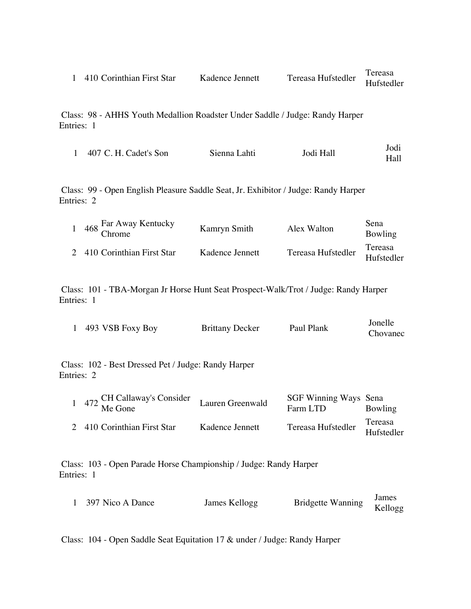|  | 410 Corinthian First Star | Kadence Jennett | Tereasa Hufstedler | Tereasa    |
|--|---------------------------|-----------------|--------------------|------------|
|  |                           |                 |                    | Hufstedler |

Class: 98 - AHHS Youth Medallion Roadster Under Saddle / Judge: Randy Harper Entries: 1

| 407 C. H. Cadet's Son | Sienna Lahti | Jodi Hall | Jodi<br>Hall |
|-----------------------|--------------|-----------|--------------|
|                       |              |           |              |

Class: 99 - Open English Pleasure Saddle Seat, Jr. Exhibitor / Judge: Randy Harper Entries: 2

| 468 Far Away Kentucky<br>Chrome | Kamryn Smith    | Alex Walton        | Sena<br>Bowling       |
|---------------------------------|-----------------|--------------------|-----------------------|
| 2 410 Corinthian First Star     | Kadence Jennett | Tereasa Hufstedler | Tereasa<br>Hufstedler |

Class: 101 - TBA-Morgan Jr Horse Hunt Seat Prospect-Walk/Trot / Judge: Randy Harper Entries: 1

|                                                                   | 493 VSB Foxy Boy                      | <b>Brittany Decker</b> | Paul Plank                        | Jonelle<br>Chovanec   |  |  |  |
|-------------------------------------------------------------------|---------------------------------------|------------------------|-----------------------------------|-----------------------|--|--|--|
| Class: 102 - Best Dressed Pet / Judge: Randy Harper<br>Entries: 2 |                                       |                        |                                   |                       |  |  |  |
|                                                                   | 472 CH Callaway's Consider<br>Me Gone | Lauren Greenwald       | SGF Winning Ways Sena<br>Farm LTD | Bowling               |  |  |  |
| $\mathcal{D}_{\mathcal{L}}$                                       | 410 Corinthian First Star             | Kadence Jennett        | Tereasa Hufstedler                | Tereasa<br>Hufstedler |  |  |  |

Class: 103 - Open Parade Horse Championship / Judge: Randy Harper Entries: 1

| 397 Nico A Dance | James Kellogg |                           | James |
|------------------|---------------|---------------------------|-------|
|                  |               | Bridgette Wanning Kellogg |       |

Class: 104 - Open Saddle Seat Equitation 17 & under / Judge: Randy Harper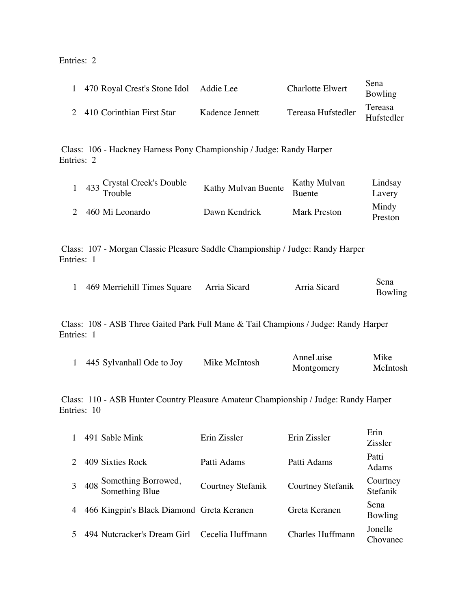## Entries: 2

| 1 470 Royal Crest's Stone Idol Addie Lee |                 | <b>Charlotte Elwert</b> | Sena<br>Bowling       |
|------------------------------------------|-----------------|-------------------------|-----------------------|
| 2 410 Corinthian First Star              | Kadence Jennett | Tereasa Hufstedler      | Tereasa<br>Hufstedler |

Class: 106 - Hackney Harness Pony Championship / Judge: Randy Harper Entries: 2

| $433$ Crystal Creek's Double<br>Trouble | Kathy Mulvan Buente | Kathy Mulvan<br>Buente | Lindsay<br>Lavery |
|-----------------------------------------|---------------------|------------------------|-------------------|
| 2 460 Mi Leonardo                       | Dawn Kendrick       | Mark Preston           | Mindy<br>Preston  |

Class: 107 - Morgan Classic Pleasure Saddle Championship / Judge: Randy Harper Entries: 1

| 469 Merriehill Times Square Arria Sicard | Arria Sicard | Sena    |
|------------------------------------------|--------------|---------|
|                                          |              | Bowling |

Class: 108 - ASB Three Gaited Park Full Mane & Tail Champions / Judge: Randy Harper Entries: 1

|                           | Mike McIntosh | AnneLuise  | Mike            |
|---------------------------|---------------|------------|-----------------|
| 445 Sylvanhall Ode to Joy |               | Montgomery | <b>McIntosh</b> |

Class: 110 - ASB Hunter Country Pleasure Amateur Championship / Judge: Randy Harper Entries: 10

|                | 491 Sable Mink                            | Erin Zissler      | Erin Zissler             | Erin<br><b>Zissler</b> |
|----------------|-------------------------------------------|-------------------|--------------------------|------------------------|
| $2^{\circ}$    | 409 Sixties Rock                          | Patti Adams       | Patti Adams              | Patti<br>Adams         |
| $\overline{3}$ | 408 Something Borrowed,<br>Something Blue | Courtney Stefanik | <b>Courtney Stefanik</b> | Courtney<br>Stefanik   |
| $\overline{4}$ | 466 Kingpin's Black Diamond Greta Keranen |                   | Greta Keranen            | Sena<br>Bowling        |
| $\mathcal{F}$  | 494 Nutcracker's Dream Girl               | Cecelia Huffmann  | <b>Charles Huffmann</b>  | Jonelle<br>Chovanec    |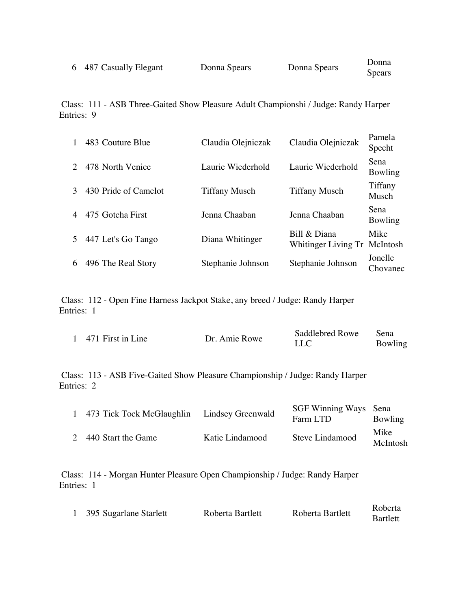| 6 487 Casually Elegant | Donna Spears | Donna Spears | Donna         |
|------------------------|--------------|--------------|---------------|
|                        |              |              | <b>Spears</b> |

Class: 111 - ASB Three-Gaited Show Pleasure Adult Championshi / Judge: Randy Harper Entries: 9

|   | 483 Couture Blue     | Claudia Olejniczak   | Claudia Olejniczak                           | Pamela<br>Specht       |
|---|----------------------|----------------------|----------------------------------------------|------------------------|
|   | 478 North Venice     | Laurie Wiederhold    | Laurie Wiederhold                            | Sena<br>Bowling        |
|   | 430 Pride of Camelot | <b>Tiffany Musch</b> | <b>Tiffany Musch</b>                         | Tiffany<br>Musch       |
|   | 475 Gotcha First     | Jenna Chaaban        | Jenna Chaaban                                | <b>Sena</b><br>Bowling |
| 5 | 447 Let's Go Tango   | Diana Whitinger      | Bill & Diana<br>Whitinger Living Tr McIntosh | Mike                   |
| 6 | 496 The Real Story   | Stephanie Johnson    | Stephanie Johnson                            | Jonelle<br>Chovanec    |

Class: 112 - Open Fine Harness Jackpot Stake, any breed / Judge: Randy Harper Entries: 1

| 1 471 First in Line | Dr. Amie Rowe | Saddlebred Rowe | Sena    |
|---------------------|---------------|-----------------|---------|
|                     |               |                 | Bowling |

Class: 113 - ASB Five-Gaited Show Pleasure Championship / Judge: Randy Harper Entries: 2

| 1 473 Tick Tock McGlaughlin Lindsey Greenwald |                 | SGF Winning Ways Sena<br>Farm LTD | Bowling          |
|-----------------------------------------------|-----------------|-----------------------------------|------------------|
| 2 440 Start the Game                          | Katie Lindamood | Steve Lindamood                   | Mike<br>McIntosh |

Class: 114 - Morgan Hunter Pleasure Open Championship / Judge: Randy Harper Entries: 1

|                        | Roberta Bartlett |                  | Roberta  |
|------------------------|------------------|------------------|----------|
| 395 Sugarlane Starlett |                  | Roberta Bartlett | Bartlett |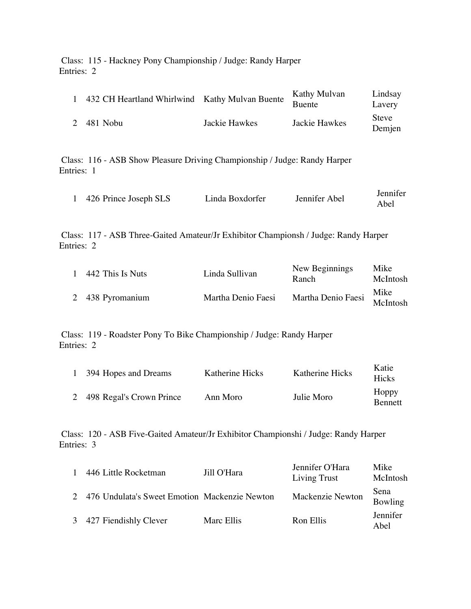Class: 115 - Hackney Pony Championship / Judge: Randy Harper Entries: 2

|   | 432 CH Heartland Whirlwind Kathy Mulvan Buente |               | Kathy Mulvan<br><b>Buente</b> | Lindsay<br>Lavery      |
|---|------------------------------------------------|---------------|-------------------------------|------------------------|
| 2 | 481 Nobu                                       | Jackie Hawkes | Jackie Hawkes                 | <b>Steve</b><br>Demjen |

Class: 116 - ASB Show Pleasure Driving Championship / Judge: Randy Harper Entries: 1

|                       | Linda Boxdorfer |               | Jennifer |
|-----------------------|-----------------|---------------|----------|
| 426 Prince Joseph SLS |                 | Jennifer Abel | Abel     |

Class: 117 - ASB Three-Gaited Amateur/Jr Exhibitor Championsh / Judge: Randy Harper Entries: 2

| 442 This Is Nuts | Linda Sullivan     | New Beginnings<br>Ranch     | Mike<br>McIntosh |
|------------------|--------------------|-----------------------------|------------------|
| 2 438 Pyromanium | Martha Denio Faesi | Martha Denio Faesi McIntosh | Mike             |

Class: 119 - Roadster Pony To Bike Championship / Judge: Randy Harper Entries: 2

| 1 394 Hopes and Dreams     | Katherine Hicks | <b>Katherine Hicks</b> | Katie<br><b>Hicks</b>   |
|----------------------------|-----------------|------------------------|-------------------------|
| 2 498 Regal's Crown Prince | Ann Moro        | Julie Moro             | Hoppy<br><b>Bennett</b> |

Class: 120 - ASB Five-Gaited Amateur/Jr Exhibitor Championshi / Judge: Randy Harper Entries: 3

|   | 446 Little Rocketman                          | Jill O'Hara | Jennifer O'Hara<br>Living Trust | Mike<br>McIntosh |
|---|-----------------------------------------------|-------------|---------------------------------|------------------|
|   | 476 Undulata's Sweet Emotion Mackenzie Newton |             | Mackenzie Newton                | Sena<br>Bowling  |
| 3 | 427 Fiendishly Clever                         | Marc Ellis  | Ron Ellis                       | Jennifer<br>Abel |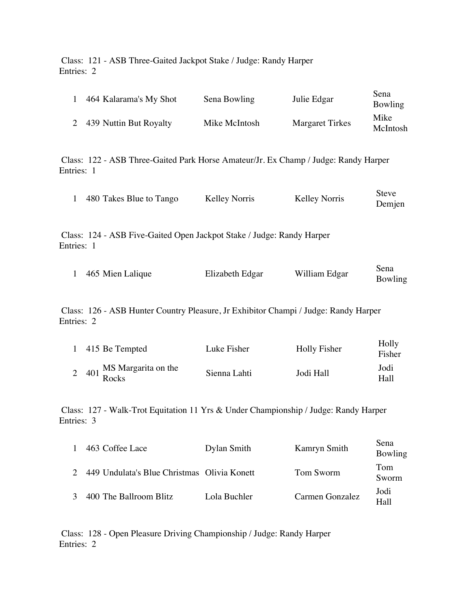Class: 121 - ASB Three-Gaited Jackpot Stake / Judge: Randy Harper Entries: 2

| 1                                                                                                 | 464 Kalarama's My Shot                                                                            | Sena Bowling         | Julie Edgar            | Sena<br>Bowling        |  |  |
|---------------------------------------------------------------------------------------------------|---------------------------------------------------------------------------------------------------|----------------------|------------------------|------------------------|--|--|
| $\overline{2}$                                                                                    | 439 Nuttin But Royalty                                                                            | Mike McIntosh        | <b>Margaret Tirkes</b> | Mike<br>McIntosh       |  |  |
|                                                                                                   | Class: 122 - ASB Three-Gaited Park Horse Amateur/Jr. Ex Champ / Judge: Randy Harper<br>Entries: 1 |                      |                        |                        |  |  |
| 1                                                                                                 | 480 Takes Blue to Tango                                                                           | <b>Kelley Norris</b> | <b>Kelley Norris</b>   | <b>Steve</b><br>Demjen |  |  |
|                                                                                                   | Class: 124 - ASB Five-Gaited Open Jackpot Stake / Judge: Randy Harper<br>Entries: 1               |                      |                        |                        |  |  |
| $\mathbf{1}$                                                                                      | 465 Mien Lalique                                                                                  | Elizabeth Edgar      | William Edgar          | Sena<br>Bowling        |  |  |
| Class: 126 - ASB Hunter Country Pleasure, Jr Exhibitor Champi / Judge: Randy Harper<br>Entries: 2 |                                                                                                   |                      |                        |                        |  |  |
| $\mathbf{1}$                                                                                      | 415 Be Tempted                                                                                    | Luke Fisher          | Holly Fisher           | Holly<br>Fisher        |  |  |
| $\overline{2}$                                                                                    | MS Margarita on the<br>401<br>Rocks                                                               | Sienna Lahti         | Jodi Hall              | Jodi<br>Hall           |  |  |

Class: 127 - Walk-Trot Equitation 11 Yrs & Under Championship / Judge: Randy Harper Entries: 3

| 463 Coffee Lace                             | Dylan Smith  | Kamryn Smith    | Sena<br>Bowling |
|---------------------------------------------|--------------|-----------------|-----------------|
| 449 Undulata's Blue Christmas Olivia Konett |              | Tom Sworm       | Tom<br>Sworm    |
| 400 The Ballroom Blitz                      | Lola Buchler | Carmen Gonzalez | Jodi<br>Hall    |

Class: 128 - Open Pleasure Driving Championship / Judge: Randy Harper Entries: 2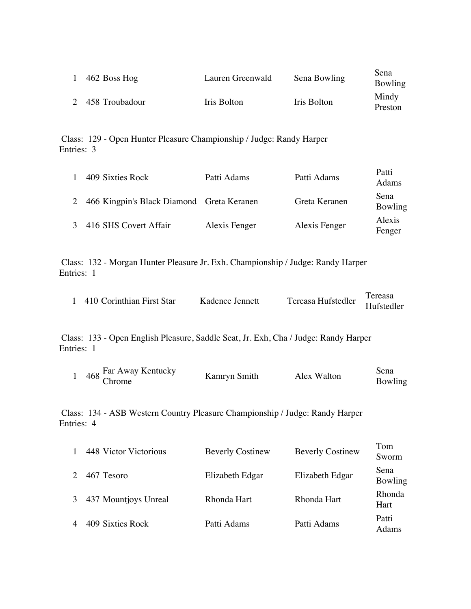| 462 Boss Hog     | Lauren Greenwald | Sena Bowling | Sena<br>Bowling  |
|------------------|------------------|--------------|------------------|
| 2 458 Troubadour | Iris Bolton      | Iris Bolton  | Mindy<br>Preston |

Class: 129 - Open Hunter Pleasure Championship / Judge: Randy Harper Entries: 3

| 409 Sixties Rock                          | Patti Adams   | Patti Adams   | Patti<br>Adams   |
|-------------------------------------------|---------------|---------------|------------------|
| 466 Kingpin's Black Diamond Greta Keranen |               | Greta Keranen | Sena<br>Bowling  |
| 416 SHS Covert Affair                     | Alexis Fenger | Alexis Fenger | Alexis<br>Fenger |

Class: 132 - Morgan Hunter Pleasure Jr. Exh. Championship / Judge: Randy Harper Entries: 1

| 1 410 Corinthian First Star | Kadence Jennett |                               | Tereasa |
|-----------------------------|-----------------|-------------------------------|---------|
|                             |                 | Tereasa Hufstedler Hufstedler |         |

Class: 133 - Open English Pleasure, Saddle Seat, Jr. Exh, Cha / Judge: Randy Harper Entries: 1

| $468$ Far Away Kentucky | Kamryn Smith | Alex Walton | Sena    |
|-------------------------|--------------|-------------|---------|
| hrome:                  |              |             | Bowling |

Class: 134 - ASB Western Country Pleasure Championship / Judge: Randy Harper Entries: 4

| 1              | 448 Victor Victorious | <b>Beverly Costinew</b> | <b>Beverly Costinew</b> | Tom<br>Sworm    |
|----------------|-----------------------|-------------------------|-------------------------|-----------------|
| $\mathcal{D}$  | 467 Tesoro            | Elizabeth Edgar         | Elizabeth Edgar         | Sena<br>Bowling |
| 3              | 437 Mountjoys Unreal  | Rhonda Hart             | Rhonda Hart             | Rhonda<br>Hart  |
| $\overline{4}$ | 409 Sixties Rock      | Patti Adams             | Patti Adams             | Patti<br>Adams  |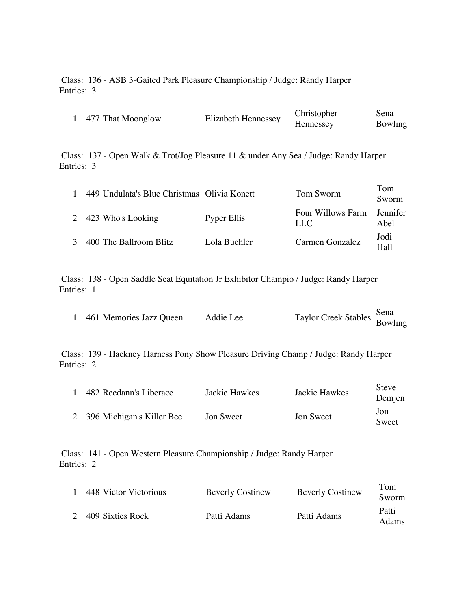Class: 136 - ASB 3-Gaited Park Pleasure Championship / Judge: Randy Harper Entries: 3

|  | 477 That Moonglow | Elizabeth Hennessey | Christopher      | Sena    |
|--|-------------------|---------------------|------------------|---------|
|  |                   |                     | <b>Hennessey</b> | Bowling |

Class: 137 - Open Walk & Trot/Jog Pleasure 11 & under Any Sea / Judge: Randy Harper Entries: 3

| $\mathbf{1}$  | 449 Undulata's Blue Christmas Olivia Konett |              | Tom Sworm                | Tom<br>Sworm            |
|---------------|---------------------------------------------|--------------|--------------------------|-------------------------|
|               | 2 423 Who's Looking                         | Pyper Ellis  | Four Willows Farm<br>LLC | <b>Jennifer</b><br>Abel |
| $\mathcal{R}$ | 400 The Ballroom Blitz                      | Lola Buchler | Carmen Gonzalez          | Jodi<br>.<br>Hall       |

Class: 138 - Open Saddle Seat Equitation Jr Exhibitor Champio / Judge: Randy Harper Entries: 1

| 461 Memories Jazz Queen | Addie Lee | Taylor Creek Stables Sena<br>Bowling |  |
|-------------------------|-----------|--------------------------------------|--|
|-------------------------|-----------|--------------------------------------|--|

Class: 139 - Hackney Harness Pony Show Pleasure Driving Champ / Judge: Randy Harper Entries: 2

| 482 Reedann's Liberace      | Jackie Hawkes | Jackie Hawkes | <b>Steve</b><br>Demjen |
|-----------------------------|---------------|---------------|------------------------|
| 2 396 Michigan's Killer Bee | Jon Sweet     | Jon Sweet     | Jon<br>Sweet           |

Class: 141 - Open Western Pleasure Championship / Judge: Randy Harper Entries: 2

| 448 Victor Victorious | <b>Beverly Costinew</b> | <b>Beverly Costinew</b> | Tom<br>Sworm   |
|-----------------------|-------------------------|-------------------------|----------------|
| 2 409 Sixties Rock    | Patti Adams             | Patti Adams             | Patti<br>Adams |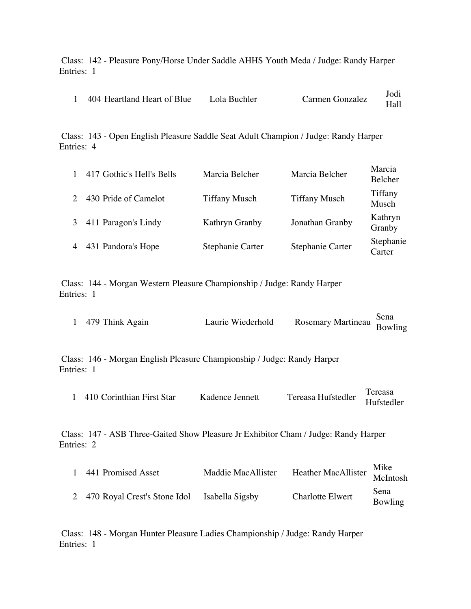Class: 142 - Pleasure Pony/Horse Under Saddle AHHS Youth Meda / Judge: Randy Harper Entries: 1

| 404 Heartland Heart of Blue | Lola Buchler | Carmen Gonzalez | Jodi |
|-----------------------------|--------------|-----------------|------|
|                             |              |                 | Hall |

Class: 143 - Open English Pleasure Saddle Seat Adult Champion / Judge: Randy Harper Entries: 4

| 417 Gothic's Hell's Bells | Marcia Belcher       | Marcia Belcher       | Marcia<br>Belcher   |
|---------------------------|----------------------|----------------------|---------------------|
| 430 Pride of Camelot      | <b>Tiffany Musch</b> | <b>Tiffany Musch</b> | Tiffany<br>Musch    |
| 411 Paragon's Lindy       | Kathryn Granby       | Jonathan Granby      | Kathryn<br>Granby   |
| 431 Pandora's Hope        | Stephanie Carter     | Stephanie Carter     | Stephanie<br>Carter |

Class: 144 - Morgan Western Pleasure Championship / Judge: Randy Harper Entries: 1

|                   | Laurie Wiederhold |                                    |  |
|-------------------|-------------------|------------------------------------|--|
| 1 479 Think Again |                   | Rosemary Martineau Sena<br>Bowling |  |

Class: 146 - Morgan English Pleasure Championship / Judge: Randy Harper Entries: 1

| 410 Corinthian First Star | Kadence Jennett | Tereasa Hufstedler | Tereasa    |
|---------------------------|-----------------|--------------------|------------|
|                           |                 |                    | Hufstedler |

Class: 147 - ASB Three-Gaited Show Pleasure Jr Exhibitor Cham / Judge: Randy Harper Entries: 2

| 441 Promised Asset                             | Maddie MacAllister | $\overline{\phantom{a}}$ Heather MacAllister McIntosh | Mike            |
|------------------------------------------------|--------------------|-------------------------------------------------------|-----------------|
| 2 470 Royal Crest's Stone Idol Isabella Sigsby |                    | <b>Charlotte Elwert</b>                               | Sena<br>Bowling |

Class: 148 - Morgan Hunter Pleasure Ladies Championship / Judge: Randy Harper Entries: 1